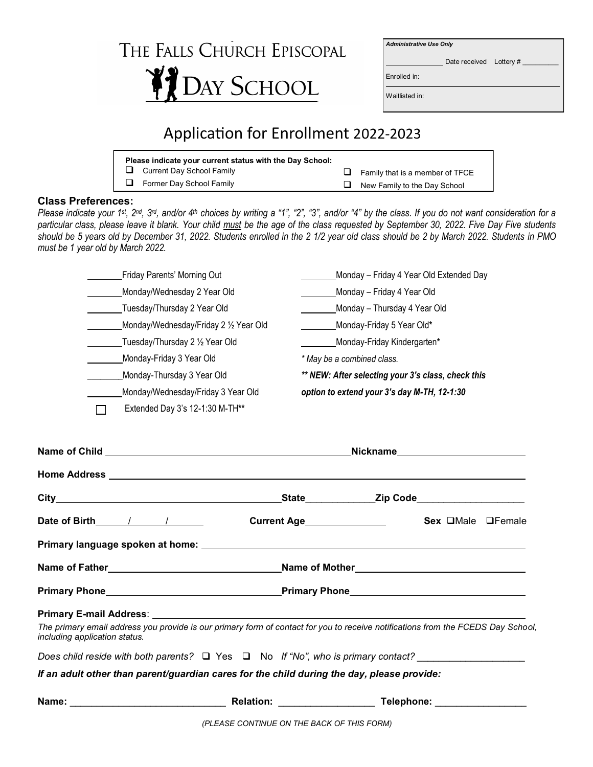## THE FALLS CHURCH EPISCOPAL **PEDAY SCHOOL**

*Administrative Use Only*

Date received Lottery #

 $\overline{a}$ 

Enrolled in:

Waitlisted in:

## Application for Enrollment 2022-2023

| Please indicate your current status with the Day School: |          |                                     |
|----------------------------------------------------------|----------|-------------------------------------|
| $\Box$ Current Day School Family                         | <u>ы</u> | Family that is a member of TFCE     |
| Former Day School Family                                 |          | $\Box$ New Family to the Day School |

## **Class Preferences:**

*Please indicate your 1st, 2nd, 3rd, and/or 4th choices by writing a "1", "2", "3", and/or "4" by the class. If you do not want consideration for a particular class, please leave it blank. Your child must be the age of the class requested by September 30, 2022. Five Day Five students should be 5 years old by December 31, 2022. Students enrolled in the 2 1/2 year old class should be 2 by March 2022. Students in PMO must be 1 year old by March 2022.*

|                               |  | Friday Parents' Morning Out            | Monday - Friday 4 Year Old Extended Day                                                                                                                                                                                                                     |  |  |
|-------------------------------|--|----------------------------------------|-------------------------------------------------------------------------------------------------------------------------------------------------------------------------------------------------------------------------------------------------------------|--|--|
|                               |  | Monday/Wednesday 2 Year Old            | Monday - Friday 4 Year Old                                                                                                                                                                                                                                  |  |  |
|                               |  | Tuesday/Thursday 2 Year Old            | Monday - Thursday 4 Year Old                                                                                                                                                                                                                                |  |  |
|                               |  | Monday/Wednesday/Friday 2 1/2 Year Old | Monday-Friday 5 Year Old*                                                                                                                                                                                                                                   |  |  |
|                               |  | Tuesday/Thursday 2 1/2 Year Old        | Monday-Friday Kindergarten*                                                                                                                                                                                                                                 |  |  |
|                               |  | Monday-Friday 3 Year Old               | * May be a combined class.                                                                                                                                                                                                                                  |  |  |
|                               |  | Monday-Thursday 3 Year Old             | ** NEW: After selecting your 3's class, check this                                                                                                                                                                                                          |  |  |
|                               |  | Monday/Wednesday/Friday 3 Year Old     | option to extend your 3's day M-TH, 12-1:30                                                                                                                                                                                                                 |  |  |
|                               |  | Extended Day 3's 12-1:30 M-TH**        |                                                                                                                                                                                                                                                             |  |  |
|                               |  |                                        |                                                                                                                                                                                                                                                             |  |  |
|                               |  |                                        |                                                                                                                                                                                                                                                             |  |  |
|                               |  |                                        |                                                                                                                                                                                                                                                             |  |  |
|                               |  |                                        | Current Age<br><u>Letter and the set of the set of the set of the set of the set of the set of the set of the set of the set of the set of the set of the set of the set of the set of the set of the set of the set of the set of</u><br>Sex OMale OFemale |  |  |
|                               |  |                                        |                                                                                                                                                                                                                                                             |  |  |
|                               |  |                                        | Name of Father________________________________Name of Mother____________________                                                                                                                                                                            |  |  |
|                               |  |                                        |                                                                                                                                                                                                                                                             |  |  |
|                               |  |                                        |                                                                                                                                                                                                                                                             |  |  |
| including application status. |  |                                        | The primary email address you provide is our primary form of contact for you to receive notifications from the FCEDS Day School,                                                                                                                            |  |  |
|                               |  |                                        | Does child reside with both parents? $\Box$ Yes $\Box$ No If "No", who is primary contact?                                                                                                                                                                  |  |  |
|                               |  |                                        | If an adult other than parent/guardian cares for the child during the day, please provide:                                                                                                                                                                  |  |  |
|                               |  |                                        | Relation: Telephone: Telephone:                                                                                                                                                                                                                             |  |  |